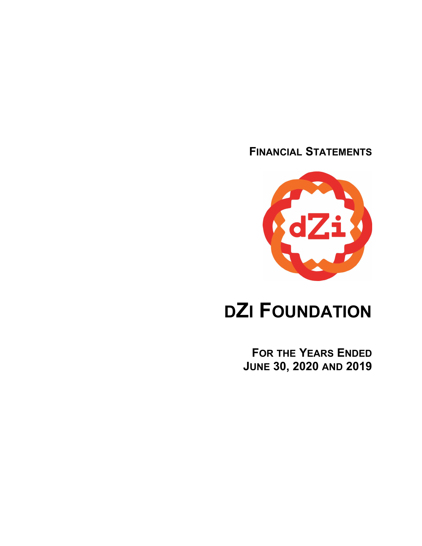# **FINANCIAL STATEMENTS**



# **DZI FOUNDATION**

**FOR THE YEARS ENDED JUNE 30, 2020 AND 2019**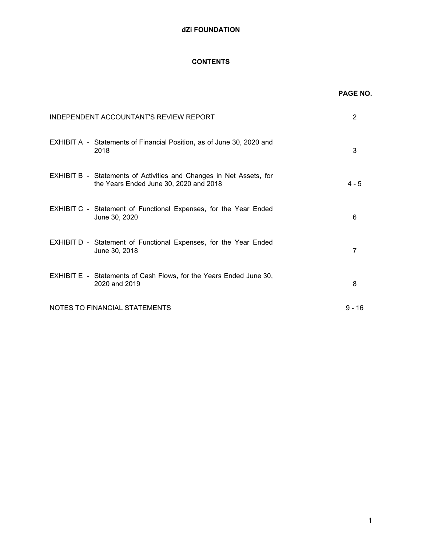# **CONTENTS**

| <b>INDEPENDENT ACCOUNTANT'S REVIEW REPORT</b>                                                                 | 2       |
|---------------------------------------------------------------------------------------------------------------|---------|
| EXHIBIT A - Statements of Financial Position, as of June 30, 2020 and<br>2018                                 | 3       |
| EXHIBIT B - Statements of Activities and Changes in Net Assets, for<br>the Years Ended June 30, 2020 and 2018 | $4 - 5$ |
| EXHIBIT C - Statement of Functional Expenses, for the Year Ended<br>June 30, 2020                             | 6       |
| EXHIBIT D - Statement of Functional Expenses, for the Year Ended<br>June 30, 2018                             | 7       |
| EXHIBIT E - Statements of Cash Flows, for the Years Ended June 30,<br>2020 and 2019                           | 8       |
| NOTES TO FINANCIAL STATEMENTS                                                                                 | 9 - 16  |

**PAGE NO.**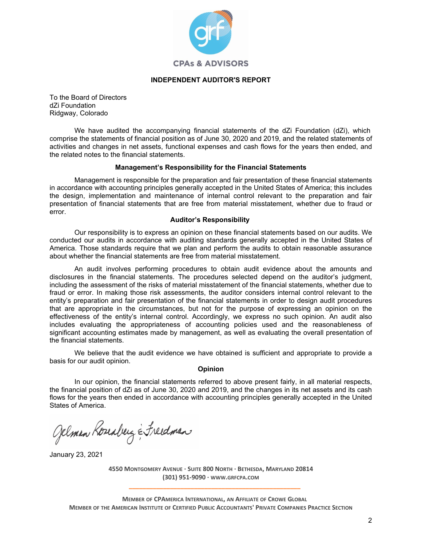

#### **INDEPENDENT AUDITOR'S REPORT**

To the Board of Directors dZi Foundation Ridgway, Colorado

We have audited the accompanying financial statements of the dZi Foundation (dZi), which comprise the statements of financial position as of June 30, 2020 and 2019, and the related statements of activities and changes in net assets, functional expenses and cash flows for the years then ended, and the related notes to the financial statements.

#### **Management's Responsibility for the Financial Statements**

Management is responsible for the preparation and fair presentation of these financial statements in accordance with accounting principles generally accepted in the United States of America; this includes the design, implementation and maintenance of internal control relevant to the preparation and fair presentation of financial statements that are free from material misstatement, whether due to fraud or error.

# **Auditor's Responsibility**

Our responsibility is to express an opinion on these financial statements based on our audits. We conducted our audits in accordance with auditing standards generally accepted in the United States of America. Those standards require that we plan and perform the audits to obtain reasonable assurance about whether the financial statements are free from material misstatement.

An audit involves performing procedures to obtain audit evidence about the amounts and disclosures in the financial statements. The procedures selected depend on the auditor's judgment, including the assessment of the risks of material misstatement of the financial statements, whether due to fraud or error. In making those risk assessments, the auditor considers internal control relevant to the entity's preparation and fair presentation of the financial statements in order to design audit procedures that are appropriate in the circumstances, but not for the purpose of expressing an opinion on the effectiveness of the entity's internal control. Accordingly, we express no such opinion. An audit also includes evaluating the appropriateness of accounting policies used and the reasonableness of significant accounting estimates made by management, as well as evaluating the overall presentation of the financial statements.

We believe that the audit evidence we have obtained is sufficient and appropriate to provide a basis for our audit opinion.

#### **Opinion**

In our opinion, the financial statements referred to above present fairly, in all material respects, the financial position of dZi as of June 30, 2020 and 2019, and the changes in its net assets and its cash flows for the years then ended in accordance with accounting principles generally accepted in the United States of America.

Gelman Roseaberg & Freedman

January 23, 2021

**4550 MONTGOMERY AVENUE · SUITE 800 NORTH · BETHESDA, MARYLAND 20814 (301) 951-9090 · WWW.GRFCPA.COM \_\_\_\_\_\_\_\_\_\_\_\_\_\_\_\_\_\_\_\_\_\_\_\_\_\_\_\_\_\_\_\_\_\_\_\_\_\_\_\_\_\_\_\_\_\_\_\_\_\_**

**MEMBER OF CPAMERICA INTERNATIONAL, AN AFFILIATE OF CROWE GLOBAL** MEMBER OF THE AMERICAN INSTITUTE OF CERTIFIED PUBLIC ACCOUNTANTS' PRIVATE COMPANIES PRACTICE SECTION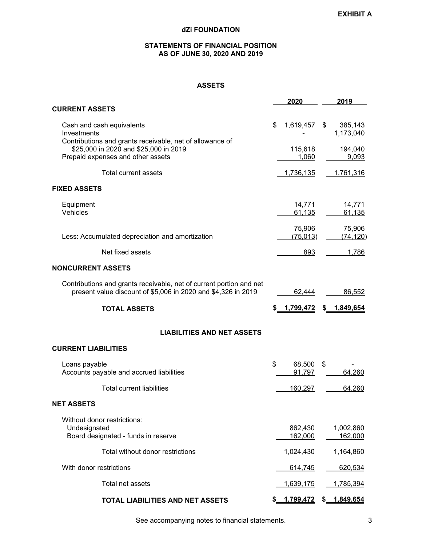# **STATEMENTS OF FINANCIAL POSITION AS OF JUNE 30, 2020 AND 2019**

# **ASSETS**

|                                                                                                                                      | 2020                   |     | 2019                      |
|--------------------------------------------------------------------------------------------------------------------------------------|------------------------|-----|---------------------------|
| <b>CURRENT ASSETS</b>                                                                                                                |                        |     |                           |
| Cash and cash equivalents<br>Investments<br>Contributions and grants receivable, net of allowance of                                 | \$<br>1,619,457        | \$  | 385,143<br>1,173,040      |
| \$25,000 in 2020 and \$25,000 in 2019<br>Prepaid expenses and other assets                                                           | 115,618<br>1,060       |     | 194,040<br>9,093          |
| <b>Total current assets</b>                                                                                                          | 1,736,135              |     | <u>1,761,316</u>          |
| <b>FIXED ASSETS</b>                                                                                                                  |                        |     |                           |
| Equipment<br>Vehicles                                                                                                                | 14,771<br>61,135       |     | 14,771<br>61,135          |
| Less: Accumulated depreciation and amortization                                                                                      | 75,906<br>(75, 013)    |     | 75,906<br><u>(74,120)</u> |
| Net fixed assets                                                                                                                     | 893                    |     | 1,786                     |
| <b>NONCURRENT ASSETS</b>                                                                                                             |                        |     |                           |
| Contributions and grants receivable, net of current portion and net<br>present value discount of \$5,006 in 2020 and \$4,326 in 2019 | 62,444                 |     | 86,552                    |
| <b>TOTAL ASSETS</b>                                                                                                                  | <u>1,799,472</u>       | S.  | <u>1,849,654</u>          |
| <b>LIABILITIES AND NET ASSETS</b>                                                                                                    |                        |     |                           |
| <b>CURRENT LIABILITIES</b>                                                                                                           |                        |     |                           |
| Loans payable<br>Accounts payable and accrued liabilities                                                                            | \$<br>68,500<br>91,797 | \$  | 64,260                    |
| <b>Total current liabilities</b>                                                                                                     | 160,297                |     | 64,260                    |
| NET ASSETS                                                                                                                           |                        |     |                           |
| Without donor restrictions:                                                                                                          |                        |     |                           |
| Undesignated<br>Board designated - funds in reserve                                                                                  | 862,430<br>162,000     |     | 1,002,860<br>162,000      |
| Total without donor restrictions                                                                                                     | 1,024,430              |     | 1,164,860                 |
| With donor restrictions                                                                                                              | 614,745                |     | 620,534                   |
| Total net assets                                                                                                                     | <u>1,639,175</u>       |     | 1,785,394                 |
| TOTAL LIABILITIES AND NET ASSETS                                                                                                     | <u>1,799,472</u>       | \$_ | 1,849,654                 |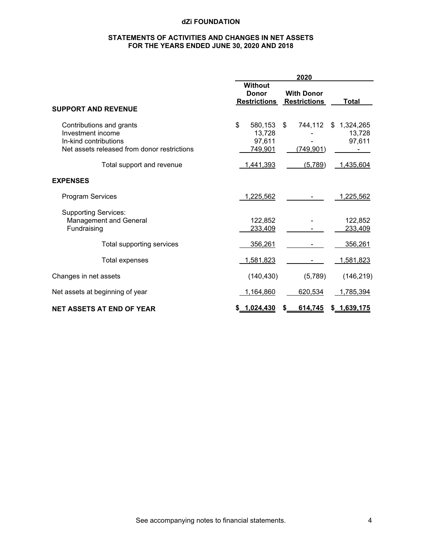# **STATEMENTS OF ACTIVITIES AND CHANGES IN NET ASSETS FOR THE YEARS ENDED JUNE 30, 2020 AND 2018**

|                                                                                                                       | 2020                                           |                                          |                                     |  |
|-----------------------------------------------------------------------------------------------------------------------|------------------------------------------------|------------------------------------------|-------------------------------------|--|
| <b>SUPPORT AND REVENUE</b>                                                                                            | Without<br><b>Donor</b><br><b>Restrictions</b> | <b>With Donor</b><br><b>Restrictions</b> | Total                               |  |
|                                                                                                                       |                                                |                                          |                                     |  |
| Contributions and grants<br>Investment income<br>In-kind contributions<br>Net assets released from donor restrictions | \$<br>580,153<br>13,728<br>97,611<br>749,901   | \$<br>744,112<br>(749, 901)              | 1,324,265<br>\$<br>13,728<br>97,611 |  |
| Total support and revenue                                                                                             | 1,441,393                                      | (5,789)                                  | 1,435,604                           |  |
| <b>EXPENSES</b>                                                                                                       |                                                |                                          |                                     |  |
| Program Services                                                                                                      | 1,225,562                                      |                                          | 1,225,562                           |  |
| <b>Supporting Services:</b><br><b>Management and General</b><br>Fundraising                                           | 122,852<br>233,409                             |                                          | 122,852<br>233,409                  |  |
| Total supporting services                                                                                             | 356,261                                        |                                          | 356,261                             |  |
| Total expenses                                                                                                        | 1,581,823                                      |                                          | 1,581,823                           |  |
| Changes in net assets                                                                                                 | (140, 430)                                     | (5,789)                                  | (146, 219)                          |  |
| Net assets at beginning of year                                                                                       | 1,164,860                                      | 620,534                                  | 1,785,394                           |  |
| <b>NET ASSETS AT END OF YEAR</b>                                                                                      | \$ 1,024,430                                   | 614,745<br>\$                            | \$ 1,639,175                        |  |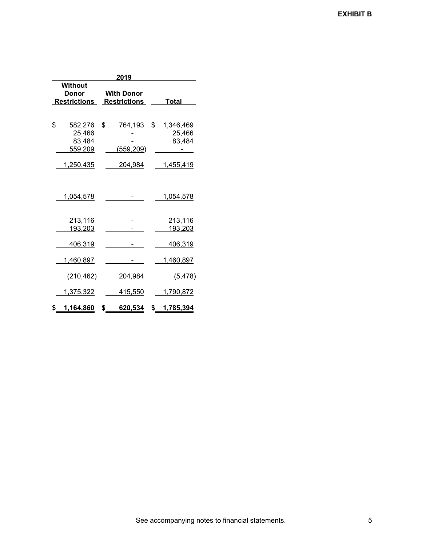|                                              | 2019                                     |                                     |
|----------------------------------------------|------------------------------------------|-------------------------------------|
| Without<br>Donor<br><b>Restrictions</b>      | <b>With Donor</b><br><b>Restrictions</b> | Total                               |
| \$<br>582,276<br>25,466<br>83,484<br>559,209 | \$<br>764.193<br>(559, 209)              | \$<br>1,346,469<br>25,466<br>83,484 |
| <u>1,250,435</u>                             | <u>204,984</u>                           | <u>1,455,419</u>                    |
| <u>1,054,578</u>                             |                                          | <u>1,054,578</u>                    |
| 213,116<br>193,203                           |                                          | 213,116<br>193,203                  |
| 406,319                                      |                                          | <u>406,319</u>                      |
| <u>1,460,897</u>                             |                                          | <u>1,460,897</u>                    |
| (210, 462)                                   | 204,984                                  | (5, 478)                            |
| 1,375,322                                    | <u>415,550</u>                           | <u>1,790,872</u>                    |
| \$<br>1,164,860                              | \$<br>620.534                            | \$<br>1,785,394                     |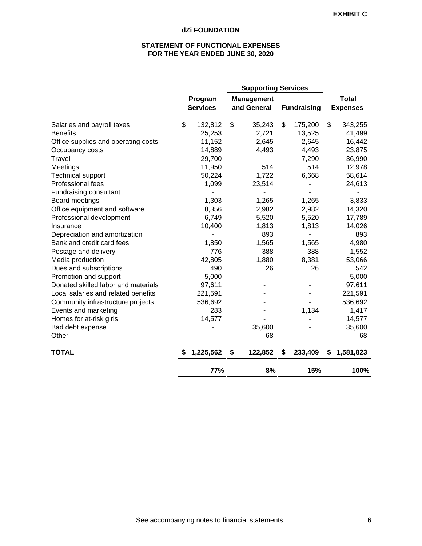# **STATEMENT OF FUNCTIONAL EXPENSES FOR THE YEAR ENDED JUNE 30, 2020**

|                                     | <b>Supporting Services</b> |                 |    |                   |                    |    |                 |
|-------------------------------------|----------------------------|-----------------|----|-------------------|--------------------|----|-----------------|
|                                     |                            | Program         |    | <b>Management</b> |                    |    | <b>Total</b>    |
|                                     |                            | <b>Services</b> |    | and General       | <b>Fundraising</b> |    | <b>Expenses</b> |
|                                     |                            |                 |    |                   |                    |    |                 |
| Salaries and payroll taxes          | \$                         | 132,812         | \$ | 35,243            | \$<br>175,200      | \$ | 343,255         |
| <b>Benefits</b>                     |                            | 25,253          |    | 2,721             | 13,525             |    | 41,499          |
| Office supplies and operating costs |                            | 11,152          |    | 2,645             | 2,645              |    | 16,442          |
| Occupancy costs                     |                            | 14,889          |    | 4,493             | 4,493              |    | 23,875          |
| Travel                              |                            | 29,700          |    |                   | 7,290              |    | 36,990          |
| Meetings                            |                            | 11,950          |    | 514               | 514                |    | 12,978          |
| <b>Technical support</b>            |                            | 50,224          |    | 1,722             | 6,668              |    | 58,614          |
| <b>Professional fees</b>            |                            | 1,099           |    | 23,514            |                    |    | 24,613          |
| Fundraising consultant              |                            |                 |    |                   |                    |    |                 |
| Board meetings                      |                            | 1,303           |    | 1,265             | 1,265              |    | 3,833           |
| Office equipment and software       |                            | 8,356           |    | 2,982             | 2,982              |    | 14,320          |
| Professional development            |                            | 6,749           |    | 5,520             | 5,520              |    | 17,789          |
| Insurance                           |                            | 10,400          |    | 1,813             | 1,813              |    | 14,026          |
| Depreciation and amortization       |                            |                 |    | 893               |                    |    | 893             |
| Bank and credit card fees           |                            | 1,850           |    | 1,565             | 1,565              |    | 4,980           |
| Postage and delivery                |                            | 776             |    | 388               | 388                |    | 1,552           |
| Media production                    |                            | 42,805          |    | 1,880             | 8,381              |    | 53,066          |
| Dues and subscriptions              |                            | 490             |    | 26                | 26                 |    | 542             |
| Promotion and support               |                            | 5,000           |    |                   |                    |    | 5,000           |
| Donated skilled labor and materials |                            | 97,611          |    |                   |                    |    | 97,611          |
| Local salaries and related benefits |                            | 221,591         |    |                   |                    |    | 221,591         |
| Community infrastructure projects   |                            | 536,692         |    |                   |                    |    | 536,692         |
| Events and marketing                |                            | 283             |    |                   | 1,134              |    | 1,417           |
| Homes for at-risk girls             |                            | 14,577          |    |                   |                    |    | 14,577          |
| Bad debt expense                    |                            |                 |    | 35,600            |                    |    | 35,600          |
| Other                               |                            |                 |    | 68                |                    |    | 68              |
| <b>TOTAL</b>                        |                            | 1,225,562       | \$ | 122,852           | \$<br>233,409      | S  | 1,581,823       |
|                                     |                            | 77%             |    | 8%                | 15%                |    | 100%            |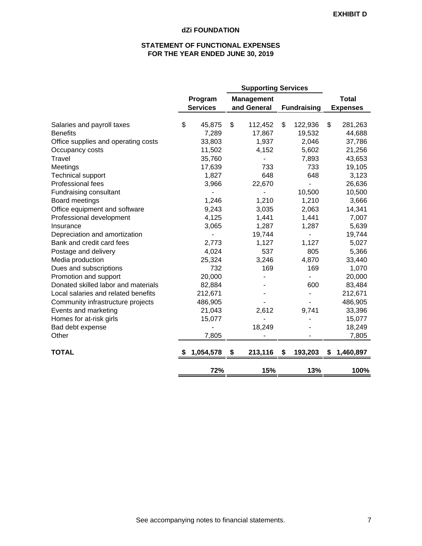# **STATEMENT OF FUNCTIONAL EXPENSES FOR THE YEAR ENDED JUNE 30, 2019**

|                                     | <b>Supporting Services</b> |                 |    |                   |                    |    |                 |
|-------------------------------------|----------------------------|-----------------|----|-------------------|--------------------|----|-----------------|
|                                     |                            | Program         |    | <b>Management</b> |                    |    | <b>Total</b>    |
|                                     |                            | <b>Services</b> |    | and General       | <b>Fundraising</b> |    | <b>Expenses</b> |
|                                     |                            |                 |    |                   |                    |    |                 |
| Salaries and payroll taxes          | \$                         | 45,875          | \$ | 112,452           | \$<br>122,936      | \$ | 281,263         |
| <b>Benefits</b>                     |                            | 7,289           |    | 17,867            | 19,532             |    | 44,688          |
| Office supplies and operating costs |                            | 33,803          |    | 1,937             | 2,046              |    | 37,786          |
| Occupancy costs                     |                            | 11,502          |    | 4,152             | 5,602              |    | 21,256          |
| Travel                              |                            | 35,760          |    |                   | 7,893              |    | 43,653          |
| Meetings                            |                            | 17,639          |    | 733               | 733                |    | 19,105          |
| <b>Technical support</b>            |                            | 1,827           |    | 648               | 648                |    | 3,123           |
| Professional fees                   |                            | 3,966           |    | 22,670            |                    |    | 26,636          |
| Fundraising consultant              |                            |                 |    |                   | 10,500             |    | 10,500          |
| Board meetings                      |                            | 1,246           |    | 1,210             | 1,210              |    | 3,666           |
| Office equipment and software       |                            | 9,243           |    | 3,035             | 2,063              |    | 14,341          |
| Professional development            |                            | 4,125           |    | 1,441             | 1,441              |    | 7,007           |
| Insurance                           |                            | 3,065           |    | 1,287             | 1,287              |    | 5,639           |
| Depreciation and amortization       |                            |                 |    | 19,744            | ٠                  |    | 19,744          |
| Bank and credit card fees           |                            | 2,773           |    | 1,127             | 1,127              |    | 5,027           |
| Postage and delivery                |                            | 4,024           |    | 537               | 805                |    | 5,366           |
| Media production                    |                            | 25,324          |    | 3,246             | 4,870              |    | 33,440          |
| Dues and subscriptions              |                            | 732             |    | 169               | 169                |    | 1,070           |
| Promotion and support               |                            | 20,000          |    |                   |                    |    | 20,000          |
| Donated skilled labor and materials |                            | 82,884          |    |                   | 600                |    | 83,484          |
| Local salaries and related benefits |                            | 212,671         |    |                   |                    |    | 212,671         |
| Community infrastructure projects   |                            | 486,905         |    |                   |                    |    | 486,905         |
| Events and marketing                |                            | 21,043          |    | 2,612             | 9,741              |    | 33,396          |
| Homes for at-risk girls             |                            | 15,077          |    |                   |                    |    | 15,077          |
| Bad debt expense                    |                            |                 |    | 18,249            |                    |    | 18,249          |
| Other                               |                            | 7,805           |    |                   |                    |    | 7,805           |
| <b>TOTAL</b>                        |                            | 1,054,578       | S  | 213,116           | \$<br>193,203      | S  | 1,460,897       |
|                                     |                            | 72%             |    | 15%               | 13%                |    | 100%            |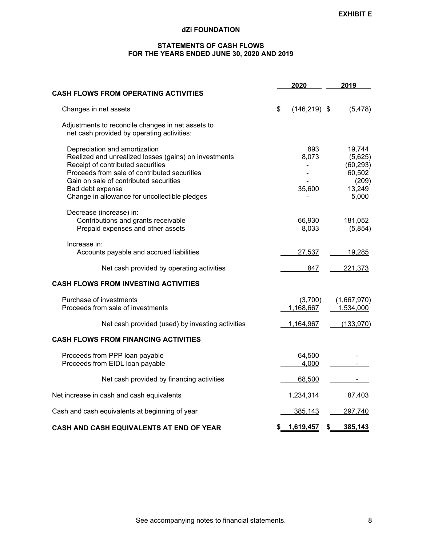# **STATEMENTS OF CASH FLOWS FOR THE YEARS ENDED JUNE 30, 2020 AND 2019**

|                                                                                                                                                                                                                                                                                            | 2020 |                        | 2019 |                                                                      |
|--------------------------------------------------------------------------------------------------------------------------------------------------------------------------------------------------------------------------------------------------------------------------------------------|------|------------------------|------|----------------------------------------------------------------------|
| <b>CASH FLOWS FROM OPERATING ACTIVITIES</b>                                                                                                                                                                                                                                                |      |                        |      |                                                                      |
| Changes in net assets                                                                                                                                                                                                                                                                      | \$   | $(146, 219)$ \$        |      | (5, 478)                                                             |
| Adjustments to reconcile changes in net assets to<br>net cash provided by operating activities:                                                                                                                                                                                            |      |                        |      |                                                                      |
| Depreciation and amortization<br>Realized and unrealized losses (gains) on investments<br>Receipt of contributed securities<br>Proceeds from sale of contributed securities<br>Gain on sale of contributed securities<br>Bad debt expense<br>Change in allowance for uncollectible pledges |      | 893<br>8,073<br>35,600 |      | 19,744<br>(5,625)<br>(60, 293)<br>60,502<br>(209)<br>13,249<br>5,000 |
| Decrease (increase) in:<br>Contributions and grants receivable<br>Prepaid expenses and other assets                                                                                                                                                                                        |      | 66,930<br>8,033        |      | 181,052<br>(5,854)                                                   |
| Increase in:<br>Accounts payable and accrued liabilities                                                                                                                                                                                                                                   |      | 27,537                 |      | 19,285                                                               |
| Net cash provided by operating activities                                                                                                                                                                                                                                                  |      | 847                    |      | 221,373                                                              |
| <b>CASH FLOWS FROM INVESTING ACTIVITIES</b>                                                                                                                                                                                                                                                |      |                        |      |                                                                      |
| Purchase of investments<br>Proceeds from sale of investments                                                                                                                                                                                                                               |      | (3,700)<br>1,168,667   |      | (1,667,970)<br>1,534,000                                             |
| Net cash provided (used) by investing activities                                                                                                                                                                                                                                           |      | 1,164,967              |      | (133,970)                                                            |
| <b>CASH FLOWS FROM FINANCING ACTIVITIES</b>                                                                                                                                                                                                                                                |      |                        |      |                                                                      |
| Proceeds from PPP loan payable<br>Proceeds from EIDL loan payable                                                                                                                                                                                                                          |      | 64,500<br>4,000        |      |                                                                      |
| Net cash provided by financing activities                                                                                                                                                                                                                                                  |      | 68,500                 |      |                                                                      |
| Net increase in cash and cash equivalents                                                                                                                                                                                                                                                  |      | 1,234,314              |      | 87,403                                                               |
| Cash and cash equivalents at beginning of year                                                                                                                                                                                                                                             |      | 385,143                |      | 297,740                                                              |
| CASH AND CASH EQUIVALENTS AT END OF YEAR                                                                                                                                                                                                                                                   | \$   | 1,619,457              | S    | 385,143                                                              |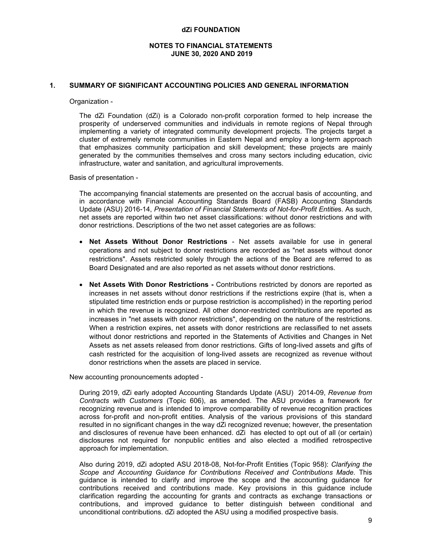#### **NOTES TO FINANCIAL STATEMENTS JUNE 30, 2020 AND 2019**

#### **1. SUMMARY OF SIGNIFICANT ACCOUNTING POLICIES AND GENERAL INFORMATION**

#### Organization -

The dZi Foundation (dZi) is a Colorado non-profit corporation formed to help increase the prosperity of underserved communities and individuals in remote regions of Nepal through implementing a variety of integrated community development projects. The projects target a cluster of extremely remote communities in Eastern Nepal and employ a long-term approach that emphasizes community participation and skill development; these projects are mainly generated by the communities themselves and cross many sectors including education, civic infrastructure, water and sanitation, and agricultural improvements.

Basis of presentation -

The accompanying financial statements are presented on the accrual basis of accounting, and in accordance with Financial Accounting Standards Board (FASB) Accounting Standards Update (ASU) 2016-14, *Presentation of Financial Statements of Not-for-Profit Entitie*s. As such, net assets are reported within two net asset classifications: without donor restrictions and with donor restrictions. Descriptions of the two net asset categories are as follows:

- **Net Assets Without Donor Restrictions** Net assets available for use in general operations and not subject to donor restrictions are recorded as "net assets without donor restrictions". Assets restricted solely through the actions of the Board are referred to as Board Designated and are also reported as net assets without donor restrictions.
- **Net Assets With Donor Restrictions -** Contributions restricted by donors are reported as increases in net assets without donor restrictions if the restrictions expire (that is, when a stipulated time restriction ends or purpose restriction is accomplished) in the reporting period in which the revenue is recognized. All other donor-restricted contributions are reported as increases in "net assets with donor restrictions", depending on the nature of the restrictions. When a restriction expires, net assets with donor restrictions are reclassified to net assets without donor restrictions and reported in the Statements of Activities and Changes in Net Assets as net assets released from donor restrictions. Gifts of long-lived assets and gifts of cash restricted for the acquisition of long-lived assets are recognized as revenue without donor restrictions when the assets are placed in service.

New accounting pronouncements adopted -

During 2019, dZi early adopted Accounting Standards Update (ASU) 2014-09, *Revenue from Contracts with Customers* (Topic 606), as amended. The ASU provides a framework for recognizing revenue and is intended to improve comparability of revenue recognition practices across for-profit and non-profit entities. Analysis of the various provisions of this standard resulted in no significant changes in the way dZi recognized revenue; however, the presentation and disclosures of revenue have been enhanced. dZi has elected to opt out of all (or certain) disclosures not required for nonpublic entities and also elected a modified retrospective approach for implementation.

Also during 2019, dZi adopted ASU 2018-08, Not-for-Profit Entities (Topic 958): *Clarifying the Scope and Accounting Guidance for Contributions Received and Contributions Made.* This guidance is intended to clarify and improve the scope and the accounting guidance for contributions received and contributions made. Key provisions in this guidance include clarification regarding the accounting for grants and contracts as exchange transactions or contributions, and improved guidance to better distinguish between conditional and unconditional contributions. dZi adopted the ASU using a modified prospective basis.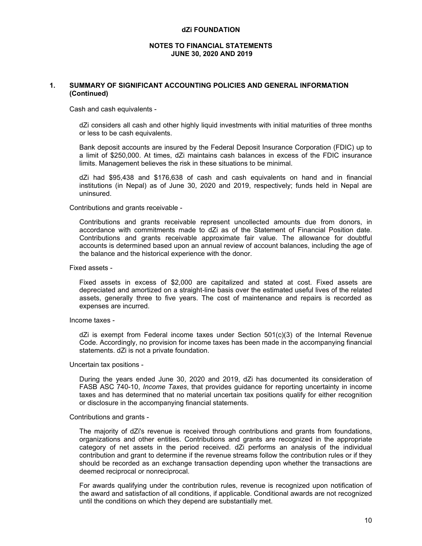#### **NOTES TO FINANCIAL STATEMENTS JUNE 30, 2020 AND 2019**

#### **1. SUMMARY OF SIGNIFICANT ACCOUNTING POLICIES AND GENERAL INFORMATION (Continued)**

Cash and cash equivalents -

dZi considers all cash and other highly liquid investments with initial maturities of three months or less to be cash equivalents.

Bank deposit accounts are insured by the Federal Deposit Insurance Corporation (FDIC) up to a limit of \$250,000. At times, dZi maintains cash balances in excess of the FDIC insurance limits. Management believes the risk in these situations to be minimal.

dZi had \$95,438 and \$176,638 of cash and cash equivalents on hand and in financial institutions (in Nepal) as of June 30, 2020 and 2019, respectively; funds held in Nepal are uninsured.

Contributions and grants receivable -

Contributions and grants receivable represent uncollected amounts due from donors, in accordance with commitments made to dZi as of the Statement of Financial Position date. Contributions and grants receivable approximate fair value. The allowance for doubtful accounts is determined based upon an annual review of account balances, including the age of the balance and the historical experience with the donor.

Fixed assets -

Fixed assets in excess of \$2,000 are capitalized and stated at cost. Fixed assets are depreciated and amortized on a straight-line basis over the estimated useful lives of the related assets, generally three to five years. The cost of maintenance and repairs is recorded as expenses are incurred.

Income taxes -

dZi is exempt from Federal income taxes under Section 501(c)(3) of the Internal Revenue Code. Accordingly, no provision for income taxes has been made in the accompanying financial statements. dZi is not a private foundation.

Uncertain tax positions -

During the years ended June 30, 2020 and 2019, dZi has documented its consideration of FASB ASC 740-10, *Income Taxes*, that provides guidance for reporting uncertainty in income taxes and has determined that no material uncertain tax positions qualify for either recognition or disclosure in the accompanying financial statements.

Contributions and grants -

The majority of dZi's revenue is received through contributions and grants from foundations, organizations and other entities. Contributions and grants are recognized in the appropriate category of net assets in the period received. dZi performs an analysis of the individual contribution and grant to determine if the revenue streams follow the contribution rules or if they should be recorded as an exchange transaction depending upon whether the transactions are deemed reciprocal or nonreciprocal.

For awards qualifying under the contribution rules, revenue is recognized upon notification of the award and satisfaction of all conditions, if applicable. Conditional awards are not recognized until the conditions on which they depend are substantially met.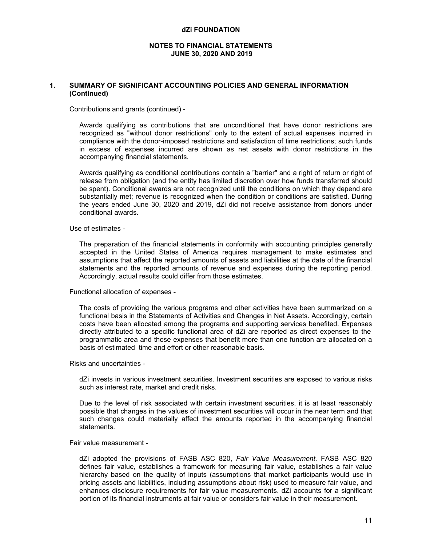#### **NOTES TO FINANCIAL STATEMENTS JUNE 30, 2020 AND 2019**

#### **1. SUMMARY OF SIGNIFICANT ACCOUNTING POLICIES AND GENERAL INFORMATION (Continued)**

Contributions and grants (continued) -

Awards qualifying as contributions that are unconditional that have donor restrictions are recognized as "without donor restrictions" only to the extent of actual expenses incurred in compliance with the donor-imposed restrictions and satisfaction of time restrictions; such funds in excess of expenses incurred are shown as net assets with donor restrictions in the accompanying financial statements.

Awards qualifying as conditional contributions contain a "barrier" and a right of return or right of release from obligation (and the entity has limited discretion over how funds transferred should be spent). Conditional awards are not recognized until the conditions on which they depend are substantially met; revenue is recognized when the condition or conditions are satisfied. During the years ended June 30, 2020 and 2019, dZi did not receive assistance from donors under conditional awards.

#### Use of estimates -

The preparation of the financial statements in conformity with accounting principles generally accepted in the United States of America requires management to make estimates and assumptions that affect the reported amounts of assets and liabilities at the date of the financial statements and the reported amounts of revenue and expenses during the reporting period. Accordingly, actual results could differ from those estimates.

Functional allocation of expenses -

The costs of providing the various programs and other activities have been summarized on a functional basis in the Statements of Activities and Changes in Net Assets. Accordingly, certain costs have been allocated among the programs and supporting services benefited. Expenses directly attributed to a specific functional area of dZi are reported as direct expenses to the programmatic area and those expenses that benefit more than one function are allocated on a basis of estimated time and effort or other reasonable basis.

#### Risks and uncertainties -

dZi invests in various investment securities. Investment securities are exposed to various risks such as interest rate, market and credit risks.

Due to the level of risk associated with certain investment securities, it is at least reasonably possible that changes in the values of investment securities will occur in the near term and that such changes could materially affect the amounts reported in the accompanying financial statements.

#### Fair value measurement -

dZi adopted the provisions of FASB ASC 820, *Fair Value Measurement*. FASB ASC 820 defines fair value, establishes a framework for measuring fair value, establishes a fair value hierarchy based on the quality of inputs (assumptions that market participants would use in pricing assets and liabilities, including assumptions about risk) used to measure fair value, and enhances disclosure requirements for fair value measurements. dZi accounts for a significant portion of its financial instruments at fair value or considers fair value in their measurement.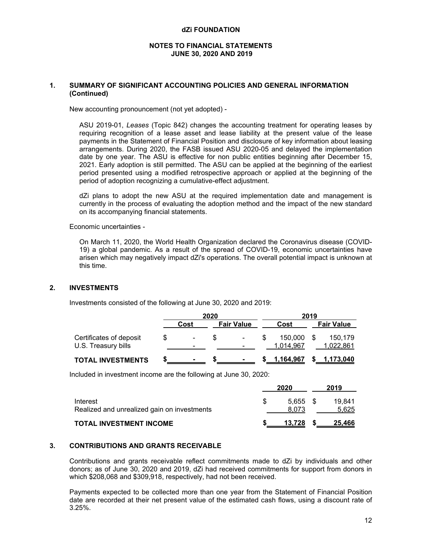#### **NOTES TO FINANCIAL STATEMENTS JUNE 30, 2020 AND 2019**

#### **1. SUMMARY OF SIGNIFICANT ACCOUNTING POLICIES AND GENERAL INFORMATION (Continued)**

New accounting pronouncement (not yet adopted) -

ASU 2019-01, *Leases* (Topic 842) changes the accounting treatment for operating leases by requiring recognition of a lease asset and lease liability at the present value of the lease payments in the Statement of Financial Position and disclosure of key information about leasing arrangements. During 2020, the FASB issued ASU 2020-05 and delayed the implementation date by one year. The ASU is effective for non public entities beginning after December 15, 2021. Early adoption is still permitted. The ASU can be applied at the beginning of the earliest period presented using a modified retrospective approach or applied at the beginning of the period of adoption recognizing a cumulative-effect adjustment.

dZi plans to adopt the new ASU at the required implementation date and management is currently in the process of evaluating the adoption method and the impact of the new standard on its accompanying financial statements.

Economic uncertainties -

On March 11, 2020, the World Health Organization declared the Coronavirus disease (COVID-19) a global pandemic. As a result of the spread of COVID-19, economic uncertainties have arisen which may negatively impact dZi's operations. The overall potential impact is unknown at this time.

#### **2. INVESTMENTS**

Investments consisted of the following at June 30, 2020 and 2019:

|                                                | 2020   |                   |                |  |                      | 2019 |                      |
|------------------------------------------------|--------|-------------------|----------------|--|----------------------|------|----------------------|
|                                                | Cost   | <b>Fair Value</b> |                |  | Cost                 |      | <b>Fair Value</b>    |
| Certificates of deposit<br>U.S. Treasury bills | ۰<br>- |                   | $\blacksquare$ |  | 150.000<br>1.014.967 | - \$ | 150.179<br>1,022,861 |
| <b>TOTAL INVESTMENTS</b>                       |        |                   |                |  | 1,164,967            |      | \$ 1,173,040         |

Included in investment income are the following at June 30, 2020:

|                                                         | 2020                | 2019            |
|---------------------------------------------------------|---------------------|-----------------|
| Interest<br>Realized and unrealized gain on investments | $5.655$ \$<br>8.073 | 19.841<br>5.625 |
| <b>TOTAL INVESTMENT INCOME</b>                          | 13.728              | 25,466          |

#### **3. CONTRIBUTIONS AND GRANTS RECEIVABLE**

Contributions and grants receivable reflect commitments made to dZi by individuals and other donors; as of June 30, 2020 and 2019, dZi had received commitments for support from donors in which \$208,068 and \$309,918, respectively, had not been received.

Payments expected to be collected more than one year from the Statement of Financial Position date are recorded at their net present value of the estimated cash flows, using a discount rate of 3.25%.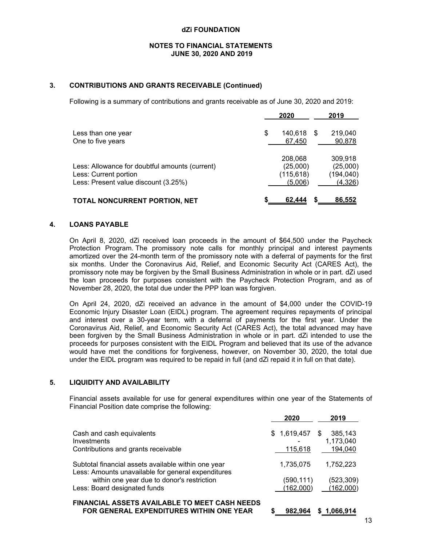#### **NOTES TO FINANCIAL STATEMENTS JUNE 30, 2020 AND 2019**

#### **3. CONTRIBUTIONS AND GRANTS RECEIVABLE (Continued)**

Following is a summary of contributions and grants receivable as of June 30, 2020 and 2019:

|                                                | 2020          |      | 2019       |
|------------------------------------------------|---------------|------|------------|
| Less than one year                             | \$<br>140,618 | - \$ | 219,040    |
| One to five years                              | 67,450        |      | 90,878     |
|                                                | 208,068       |      | 309,918    |
| Less: Allowance for doubtful amounts (current) | (25,000)      |      | (25,000)   |
| Less: Current portion                          | (115, 618)    |      | (194, 040) |
| Less: Present value discount (3.25%)           | (5,006)       |      | (4,326)    |
| TOTAL NONCURRENT PORTION, NET                  | 62.444        |      | 86,552     |

#### **4. LOANS PAYABLE**

On April 8, 2020, dZi received loan proceeds in the amount of \$64,500 under the Paycheck Protection Program. The promissory note calls for monthly principal and interest payments amortized over the 24-month term of the promissory note with a deferral of payments for the first six months. Under the Coronavirus Aid, Relief, and Economic Security Act (CARES Act), the promissory note may be forgiven by the Small Business Administration in whole or in part. dZi used the loan proceeds for purposes consistent with the Paycheck Protection Program, and as of November 28, 2020, the total due under the PPP loan was forgiven.

On April 24, 2020, dZi received an advance in the amount of \$4,000 under the COVID-19 Economic Injury Disaster Loan (EIDL) program. The agreement requires repayments of principal and interest over a 30-year term, with a deferral of payments for the first year. Under the Coronavirus Aid, Relief, and Economic Security Act (CARES Act), the total advanced may have been forgiven by the Small Business Administration in whole or in part. dZi intended to use the proceeds for purposes consistent with the EIDL Program and believed that its use of the advance would have met the conditions for forgiveness, however, on November 30, 2020, the total due under the EIDL program was required to be repaid in full (and dZi repaid it in full on that date).

# **5. LIQUIDITY AND AVAILABILITY**

Financial assets available for use for general expenditures within one year of the Statements of Financial Position date comprise the following:

|                                                                                                           | 2020                       | 2019                            |
|-----------------------------------------------------------------------------------------------------------|----------------------------|---------------------------------|
| Cash and cash equivalents<br>Investments<br>Contributions and grants receivable                           | $$1,619,457$ \$<br>115,618 | 385,143<br>1,173,040<br>194,040 |
| Subtotal financial assets available within one year<br>Less: Amounts unavailable for general expenditures | 1,735,075                  | 1,752,223                       |
| within one year due to donor's restriction                                                                | (590, 111)                 | (523, 309)                      |
| Less: Board designated funds                                                                              | (162,000)                  | (162,000)                       |
| <b>FINANCIAL ASSETS AVAILABLE TO MEET CASH NEEDS</b>                                                      |                            |                                 |

**FOR GENERAL EXPENDITURES WITHIN ONE YEAR \$ 982,964 \$ 1,066,914**

13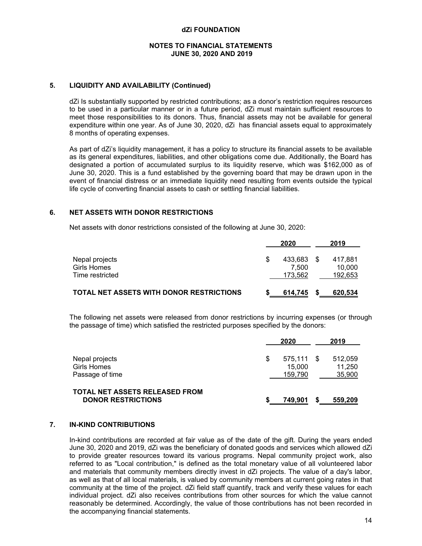#### **NOTES TO FINANCIAL STATEMENTS JUNE 30, 2020 AND 2019**

#### **5. LIQUIDITY AND AVAILABILITY (Continued)**

dZi Is substantially supported by restricted contributions; as a donor's restriction requires resources to be used in a particular manner or in a future period, dZi must maintain sufficient resources to meet those responsibilities to its donors. Thus, financial assets may not be available for general expenditure within one year. As of June 30, 2020, dZi has financial assets equal to approximately 8 months of operating expenses.

As part of dZi's liquidity management, it has a policy to structure its financial assets to be available as its general expenditures, liabilities, and other obligations come due. Additionally, the Board has designated a portion of accumulated surplus to its liquidity reserve, which was \$162,000 as of June 30, 2020. This is a fund established by the governing board that may be drawn upon in the event of financial distress or an immediate liquidity need resulting from events outside the typical life cycle of converting financial assets to cash or settling financial liabilities.

# **6. NET ASSETS WITH DONOR RESTRICTIONS**

Net assets with donor restrictions consisted of the following at June 30, 2020:

|                                          |     | 2020       | 2019    |
|------------------------------------------|-----|------------|---------|
| Nepal projects                           | \$. | 433.683 \$ | 417.881 |
| Girls Homes                              |     | 7.500      | 10.000  |
| Time restricted                          |     | 173.562    | 192,653 |
| TOTAL NET ASSETS WITH DONOR RESTRICTIONS |     | 614,745    | 620,534 |

The following net assets were released from donor restrictions by incurring expenses (or through the passage of time) which satisfied the restricted purposes specified by the donors:

|                                                             |   | 2020                            | 2019                        |
|-------------------------------------------------------------|---|---------------------------------|-----------------------------|
| Nepal projects<br>Girls Homes<br>Passage of time            | S | 575.111 \$<br>15.000<br>159.790 | 512,059<br>11.250<br>35,900 |
| TOTAL NET ASSETS RELEASED FROM<br><b>DONOR RESTRICTIONS</b> |   | 749.901                         | 559,209                     |

#### **7. IN-KIND CONTRIBUTIONS**

In-kind contributions are recorded at fair value as of the date of the gift. During the years ended June 30, 2020 and 2019, dZi was the beneficiary of donated goods and services which allowed dZi to provide greater resources toward its various programs. Nepal community project work, also referred to as "Local contribution," is defined as the total monetary value of all volunteered labor and materials that community members directly invest in dZi projects. The value of a day's labor, as well as that of all local materials, is valued by community members at current going rates in that community at the time of the project. dZi field staff quantify, track and verify these values for each individual project. dZi also receives contributions from other sources for which the value cannot reasonably be determined. Accordingly, the value of those contributions has not been recorded in the accompanying financial statements.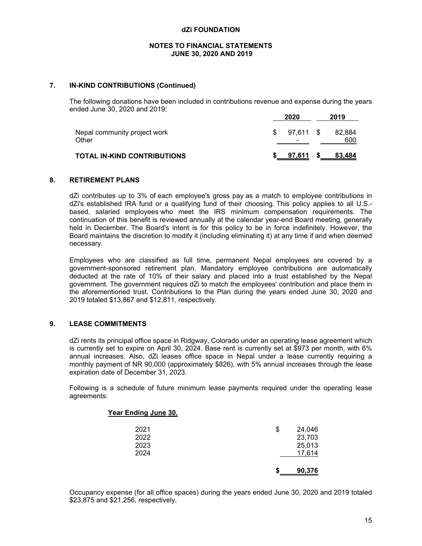#### **NOTES TO FINANCIAL STATEMENTS JUNE 30, 2020 AND 2019**

#### **7. IN-KIND CONTRIBUTIONS (Continued)**

The following donations have been included in contributions revenue and expense during the years ended June 30, 2020 and 2019:

|                                       |     | 2020                  | 2019          |
|---------------------------------------|-----|-----------------------|---------------|
| Nepal community project work<br>Other | SS. | 97.611 \$<br>-        | 82.884<br>600 |
| TOTAL IN-KIND CONTRIBUTIONS           |     | <u>97,611</u> \$____8 | 83,484        |

#### **8. RETIREMENT PLANS**

dZi contributes up to 3% of each employee's gross pay as a match to employee contributions in dZi's established IRA fund or a qualifying fund of their choosing. This policy applies to all U.S. based, salaried employees who meet the IRS minimum compensation requirements. The continuation of this benefit is reviewed annually at the calendar year-end Board meeting, generally held in December. The Board's intent is for this policy to be in force indefinitely. However, the Board maintains the discretion to modify it (including eliminating it) at any time if and when deemed necessary.

Employees who are classified as full time, permanent Nepal employees are covered by a government-sponsored retirement plan. Mandatory employee contributions are automatically deducted at the rate of 10% of their salary and placed into a trust established by the Nepal government. The government requires dZi to match the employees' contribution and place them in the aforementioned trust. Contributions to the Plan during the years ended June 30, 2020 and 2019 totaled \$13,867 and \$12,811, respectively.

#### **9. LEASE COMMITMENTS**

dZi rents its principal office space in Ridgway, Colorado under an operating lease agreement which is currently set to expire on April 30, 2024. Base rent is currently set at \$973 per month, with 6% annual increases. Also, dZi leases office space in Nepal under a lease currently requiring a monthly payment of NR 90,000 (approximately \$826), with 5% annual increases through the lease expiration date of December 31, 2023.

Following is a schedule of future minimum lease payments required under the operating lease agreements:

| Year Ending June 30, |  |
|----------------------|--|
| 2021                 |  |
| 2022                 |  |
| 2023                 |  |

| 2021<br>2022<br>2023<br>2024 | \$<br>24,046<br>23,703<br>25,013<br>17,614 |
|------------------------------|--------------------------------------------|
|                              | 90,376                                     |

Occupancy expense (for all office spaces) during the years ended June 30, 2020 and 2019 totaled \$23,875 and \$21,256, respectively.